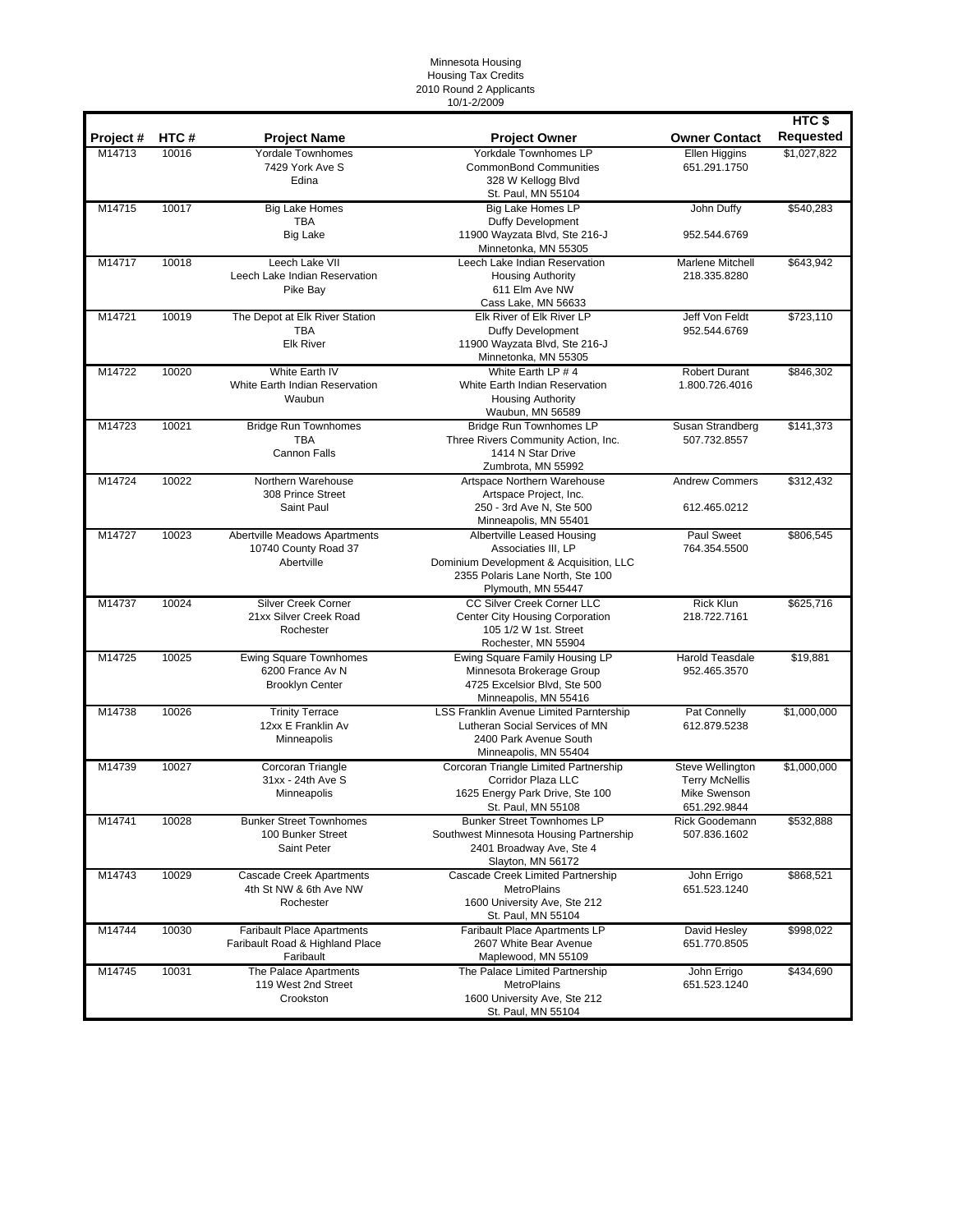## Minnesota Housing Housing Tax Credits 2010 Round 2 Applicants 10/1-2/2009

|          |       |                                                                                   |                                                                                                                                                        |                                                                           | HTC\$            |
|----------|-------|-----------------------------------------------------------------------------------|--------------------------------------------------------------------------------------------------------------------------------------------------------|---------------------------------------------------------------------------|------------------|
| Project# | HTC#  | <b>Project Name</b>                                                               | <b>Project Owner</b>                                                                                                                                   | <b>Owner Contact</b>                                                      | <b>Requested</b> |
| M14713   | 10016 | <b>Yordale Townhomes</b><br>7429 York Ave S<br>Edina                              | <b>Yorkdale Townhomes LP</b><br><b>CommonBond Communities</b><br>328 W Kellogg Blvd<br>St. Paul, MN 55104                                              | Ellen Higgins<br>651.291.1750                                             | \$1,027,822      |
| M14715   | 10017 | <b>Big Lake Homes</b><br><b>TBA</b><br><b>Big Lake</b>                            | <b>Big Lake Homes LP</b><br><b>Duffy Development</b><br>11900 Wayzata Blvd, Ste 216-J<br>Minnetonka, MN 55305                                          | John Duffy<br>952.544.6769                                                | \$540,283        |
| M14717   | 10018 | Leech Lake VII<br>Leech Lake Indian Reservation<br>Pike Bay                       | Leech Lake Indian Reservation<br><b>Housing Authority</b><br>611 Elm Ave NW<br>Cass Lake, MN 56633                                                     | Marlene Mitchell<br>218.335.8280                                          | \$643,942        |
| M14721   | 10019 | The Depot at Elk River Station<br>TBA<br><b>Elk River</b>                         | Elk River of Elk River LP<br>Duffy Development<br>11900 Wayzata Blvd, Ste 216-J<br>Minnetonka, MN 55305                                                | Jeff Von Feldt<br>952.544.6769                                            | \$723,110        |
| M14722   | 10020 | White Earth IV<br>White Earth Indian Reservation<br>Waubun                        | White Earth LP # 4<br>White Earth Indian Reservation<br><b>Housing Authority</b><br>Waubun, MN 56589                                                   | <b>Robert Durant</b><br>1.800.726.4016                                    | \$846,302        |
| M14723   | 10021 | <b>Bridge Run Townhomes</b><br>TBA<br>Cannon Falls                                | <b>Bridge Run Townhomes LP</b><br>Three Rivers Community Action, Inc.<br>1414 N Star Drive<br>Zumbrota, MN 55992                                       | Susan Strandberg<br>507.732.8557                                          | \$141,373        |
| M14724   | 10022 | Northern Warehouse<br>308 Prince Street<br>Saint Paul                             | Artspace Northern Warehouse<br>Artspace Project, Inc.<br>250 - 3rd Ave N, Ste 500<br>Minneapolis, MN 55401                                             | <b>Andrew Commers</b><br>612.465.0212                                     | \$312,432        |
| M14727   | 10023 | Abertville Meadows Apartments<br>10740 County Road 37<br>Abertville               | Albertville Leased Housing<br>Associaties III, LP<br>Dominium Development & Acquisition, LLC<br>2355 Polaris Lane North, Ste 100<br>Plymouth, MN 55447 | Paul Sweet<br>764.354.5500                                                | \$806,545        |
| M14737   | 10024 | Silver Creek Corner<br>21xx Silver Creek Road<br>Rochester                        | CC Silver Creek Corner LLC<br>Center City Housing Corporation<br>105 1/2 W 1st. Street<br>Rochester, MN 55904                                          | <b>Rick Klun</b><br>218.722.7161                                          | \$625,716        |
| M14725   | 10025 | <b>Ewing Square Townhomes</b><br>6200 France Av N<br><b>Brooklyn Center</b>       | Ewing Square Family Housing LP<br>Minnesota Brokerage Group<br>4725 Excelsior Blvd, Ste 500<br>Minneapolis, MN 55416                                   | <b>Harold Teasdale</b><br>952.465.3570                                    | \$19,881         |
| M14738   | 10026 | <b>Trinity Terrace</b><br>12xx E Franklin Av<br>Minneapolis                       | <b>LSS Franklin Avenue Limited Parntership</b><br>Lutheran Social Services of MN<br>2400 Park Avenue South<br>Minneapolis, MN 55404                    | Pat Connelly<br>612.879.5238                                              | \$1,000,000      |
| M14739   | 10027 | Corcoran Triangle<br>31xx - 24th Ave S<br>Minneapolis                             | Corcoran Triangle Limited Partnership<br>Corridor Plaza LLC<br>1625 Energy Park Drive, Ste 100<br>St. Paul, MN 55108                                   | Steve Wellington<br><b>Terry McNellis</b><br>Mike Swenson<br>651.292.9844 | \$1,000,000      |
| M14741   | 10028 | <b>Bunker Street Townhomes</b><br>100 Bunker Street<br>Saint Peter                | <b>Bunker Street Townhomes LP</b><br>Southwest Minnesota Housing Partnership<br>2401 Broadway Ave, Ste 4<br>Slayton, MN 56172                          | Rick Goodemann<br>507.836.1602                                            | \$532,888        |
| M14743   | 10029 | <b>Cascade Creek Apartments</b><br>4th St NW & 6th Ave NW<br>Rochester            | Cascade Creek Limited Partnership<br><b>MetroPlains</b><br>1600 University Ave, Ste 212<br>St. Paul, MN 55104                                          | John Errigo<br>651.523.1240                                               | \$868,521        |
| M14744   | 10030 | <b>Faribault Place Apartments</b><br>Faribault Road & Highland Place<br>Faribault | Faribault Place Apartments LP<br>2607 White Bear Avenue<br>Maplewood, MN 55109                                                                         | David Hesley<br>651.770.8505                                              | \$998,022        |
| M14745   | 10031 | The Palace Apartments<br>119 West 2nd Street<br>Crookston                         | The Palace Limited Partnership<br><b>MetroPlains</b><br>1600 University Ave, Ste 212<br>St. Paul, MN 55104                                             | John Errigo<br>651.523.1240                                               | \$434,690        |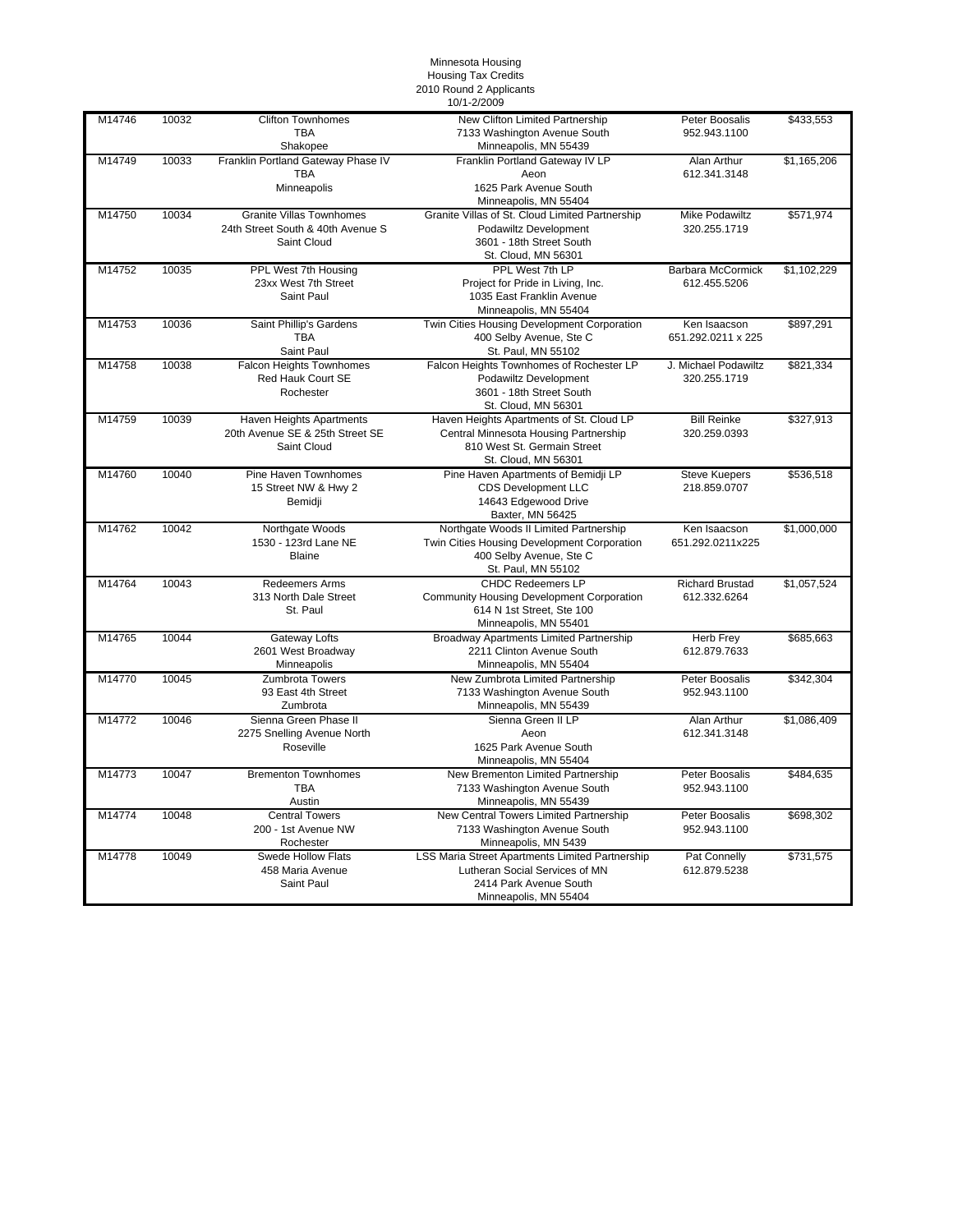## Minnesota Housing Housing Tax Credits

2010 Round 2 Applicants

|        |       |                                              | 10/1-2/2009                                                     |                                   |             |
|--------|-------|----------------------------------------------|-----------------------------------------------------------------|-----------------------------------|-------------|
| M14746 | 10032 | <b>Clifton Townhomes</b><br><b>TBA</b>       | New Clifton Limited Partnership<br>7133 Washington Avenue South | Peter Boosalis<br>952.943.1100    | \$433,553   |
|        |       | Shakopee                                     | Minneapolis, MN 55439                                           |                                   |             |
| M14749 | 10033 | Franklin Portland Gateway Phase IV           | Franklin Portland Gateway IV LP                                 | Alan Arthur                       | \$1,165,206 |
|        |       | TBA                                          | Aeon                                                            | 612.341.3148                      |             |
|        |       | Minneapolis                                  | 1625 Park Avenue South<br>Minneapolis, MN 55404                 |                                   |             |
| M14750 | 10034 | <b>Granite Villas Townhomes</b>              | Granite Villas of St. Cloud Limited Partnership                 | <b>Mike Podawiltz</b>             | \$571,974   |
|        |       | 24th Street South & 40th Avenue S            | Podawiltz Development                                           | 320.255.1719                      |             |
|        |       | Saint Cloud                                  | 3601 - 18th Street South                                        |                                   |             |
|        |       |                                              | St. Cloud, MN 56301                                             |                                   |             |
| M14752 | 10035 | PPL West 7th Housing<br>23xx West 7th Street | PPL West 7th LP                                                 | Barbara McCormick<br>612.455.5206 | \$1,102,229 |
|        |       | Saint Paul                                   | Project for Pride in Living, Inc.<br>1035 East Franklin Avenue  |                                   |             |
|        |       |                                              | Minneapolis, MN 55404                                           |                                   |             |
| M14753 | 10036 | Saint Phillip's Gardens                      | Twin Cities Housing Development Corporation                     | Ken Isaacson                      | \$897,291   |
|        |       | <b>TBA</b>                                   | 400 Selby Avenue, Ste C                                         | 651.292.0211 x 225                |             |
|        |       | Saint Paul                                   | St. Paul, MN 55102                                              |                                   |             |
| M14758 | 10038 | <b>Falcon Heights Townhomes</b>              | Falcon Heights Townhomes of Rochester LP                        | J. Michael Podawiltz              | \$821,334   |
|        |       | Red Hauk Court SE                            | Podawiltz Development                                           | 320.255.1719                      |             |
|        |       | Rochester                                    | 3601 - 18th Street South                                        |                                   |             |
|        |       |                                              | St. Cloud, MN 56301                                             |                                   |             |
| M14759 | 10039 | Haven Heights Apartments                     | Haven Heights Apartments of St. Cloud LP                        | <b>Bill Reinke</b>                | \$327,913   |
|        |       | 20th Avenue SE & 25th Street SE              | Central Minnesota Housing Partnership                           | 320.259.0393                      |             |
|        |       | Saint Cloud                                  | 810 West St. Germain Street                                     |                                   |             |
|        |       |                                              | St. Cloud, MN 56301                                             |                                   |             |
| M14760 | 10040 | Pine Haven Townhomes                         | Pine Haven Apartments of Bemidji LP                             | <b>Steve Kuepers</b>              | \$536,518   |
|        |       | 15 Street NW & Hwy 2                         | <b>CDS Development LLC</b>                                      | 218.859.0707                      |             |
|        |       | Bemidji                                      | 14643 Edgewood Drive                                            |                                   |             |
| M14762 | 10042 | Northgate Woods                              | Baxter, MN 56425<br>Northgate Woods II Limited Partnership      | Ken Isaacson                      | \$1,000,000 |
|        |       | 1530 - 123rd Lane NE                         | Twin Cities Housing Development Corporation                     | 651.292.0211x225                  |             |
|        |       | <b>Blaine</b>                                | 400 Selby Avenue, Ste C                                         |                                   |             |
|        |       |                                              | St. Paul, MN 55102                                              |                                   |             |
| M14764 | 10043 | <b>Redeemers Arms</b>                        | <b>CHDC Redeemers LP</b>                                        | <b>Richard Brustad</b>            | \$1,057,524 |
|        |       | 313 North Dale Street                        | Community Housing Development Corporation                       | 612.332.6264                      |             |
|        |       | St. Paul                                     | 614 N 1st Street, Ste 100                                       |                                   |             |
|        |       |                                              | Minneapolis, MN 55401                                           |                                   |             |
| M14765 | 10044 | Gateway Lofts                                | <b>Broadway Apartments Limited Partnership</b>                  | Herb Frey                         | \$685,663   |
|        |       | 2601 West Broadway                           | 2211 Clinton Avenue South                                       | 612.879.7633                      |             |
|        |       | Minneapolis                                  | Minneapolis, MN 55404                                           |                                   |             |
| M14770 | 10045 | <b>Zumbrota Towers</b>                       | New Zumbrota Limited Partnership                                | Peter Boosalis                    | \$342,304   |
|        |       | 93 East 4th Street                           | 7133 Washington Avenue South                                    | 952.943.1100                      |             |
|        |       | Zumbrota                                     | Minneapolis, MN 55439                                           |                                   |             |
| M14772 | 10046 | Sienna Green Phase II                        | Sienna Green II LP                                              | Alan Arthur                       | \$1,086,409 |
|        |       | 2275 Snelling Avenue North<br>Roseville      | Aeon<br>1625 Park Avenue South                                  | 612.341.3148                      |             |
|        |       |                                              | Minneapolis, MN 55404                                           |                                   |             |
| M14773 | 10047 | <b>Brementon Townhomes</b>                   | New Brementon Limited Partnership                               | Peter Boosalis                    | \$484,635   |
|        |       | <b>TBA</b>                                   | 7133 Washington Avenue South                                    | 952.943.1100                      |             |
|        |       | Austin                                       | Minneapolis, MN 55439                                           |                                   |             |
| M14774 | 10048 | <b>Central Towers</b>                        | New Central Towers Limited Partnership                          | Peter Boosalis                    | \$698,302   |
|        |       | 200 - 1st Avenue NW                          | 7133 Washington Avenue South                                    | 952.943.1100                      |             |
|        |       | Rochester                                    | Minneapolis, MN 5439                                            |                                   |             |
| M14778 | 10049 | Swede Hollow Flats                           | LSS Maria Street Apartments Limited Partnership                 | Pat Connelly                      | \$731,575   |
|        |       | 458 Maria Avenue                             | Lutheran Social Services of MN                                  | 612.879.5238                      |             |
|        |       | Saint Paul                                   | 2414 Park Avenue South                                          |                                   |             |
|        |       |                                              | Minneapolis, MN 55404                                           |                                   |             |